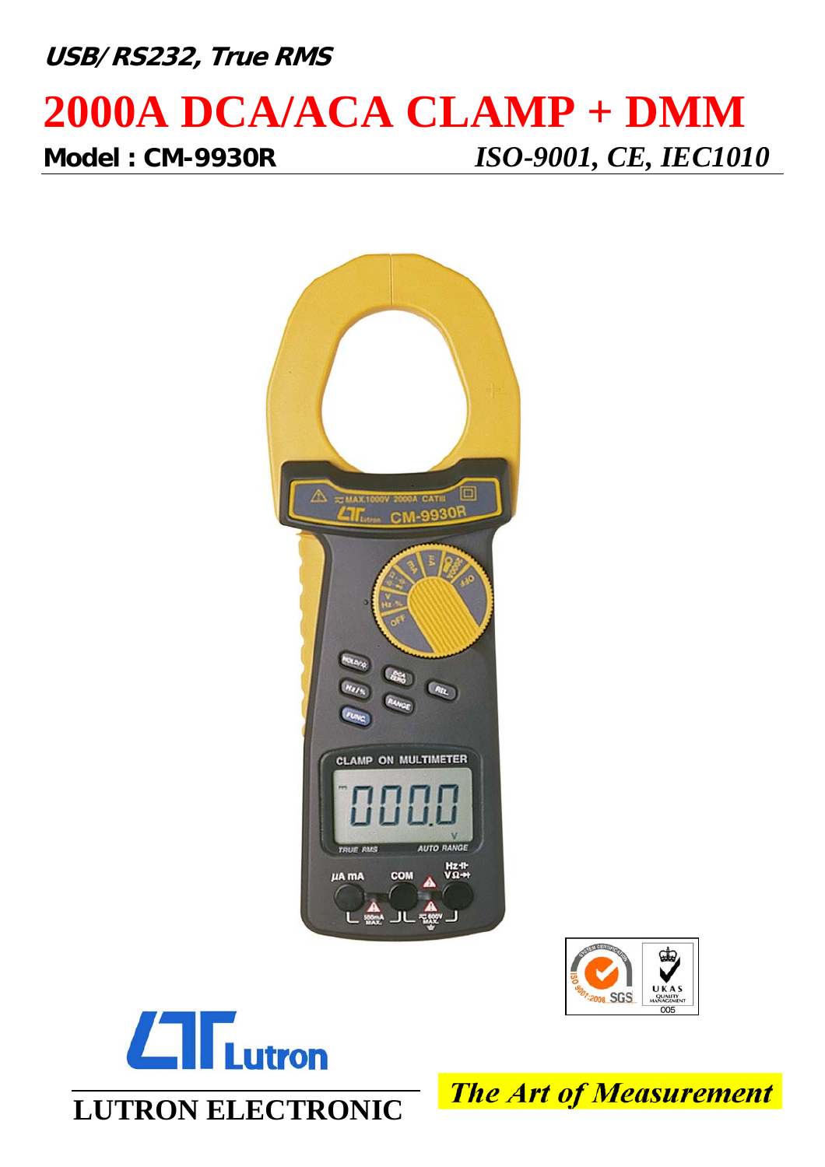# **USB/RS232, True RMS**

## **2000A DCA/ACA CLAMP + DMM Model : CM-9930R** *ISO-9001, CE, IEC1010*







**The Art of Measurement**